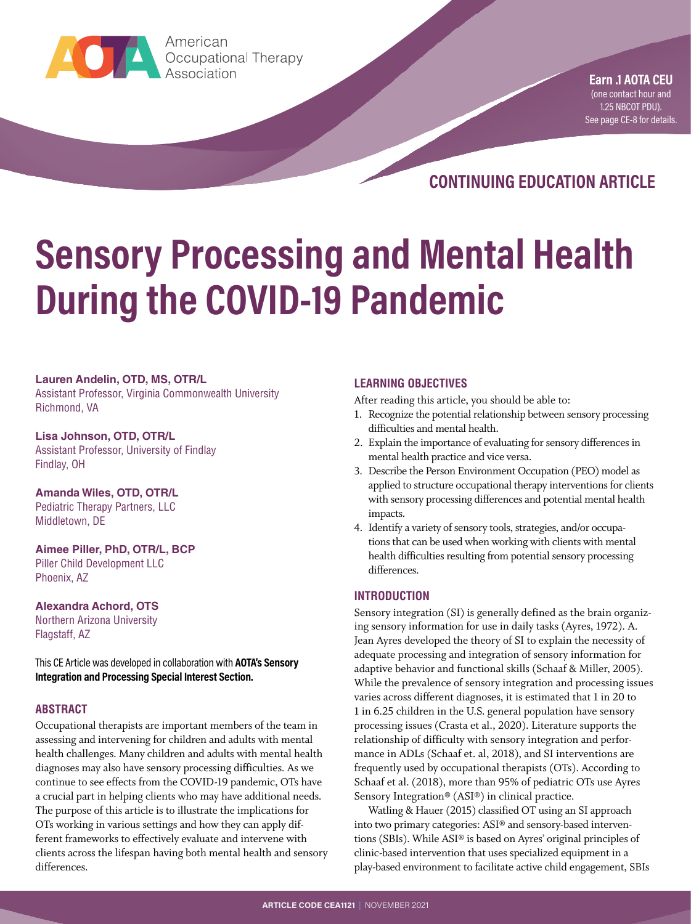

**Earn ...**<br>Association<br>Association American

**Earn .1 AOTA CEU** (one contact hour and 1.25 NBCOT PDU). [See page CE-8 for details.](#page-7-0)

**CONTINUING EDUCATION ARTICLE**

# **Sensory Processing and Mental Health During the COVID-19 Pandemic**

#### **Lauren Andelin, OTD, MS, OTR/L**

Assistant Professor, Virginia Commonwealth University Richmond, VA

**Lisa Johnson, OTD, OTR/L** Assistant Professor, University of Findlay Findlay, OH

**Amanda Wiles, OTD, OTR/L** Pediatric Therapy Partners, LLC Middletown, DE

**Aimee Piller, PhD, OTR/L, BCP** Piller Child Development LLC Phoenix, AZ

**Alexandra Achord, OTS** Northern Arizona University Flagstaff, AZ

This CE Article was developed in collaboration with **AOTA's Sensory Integration and Processing Special Interest Section.**

#### **ABSTRACT**

Occupational therapists are important members of the team in assessing and intervening for children and adults with mental health challenges. Many children and adults with mental health diagnoses may also have sensory processing difficulties. As we continue to see effects from the COVID-19 pandemic, OTs have a crucial part in helping clients who may have additional needs. The purpose of this article is to illustrate the implications for OTs working in various settings and how they can apply different frameworks to effectively evaluate and intervene with clients across the lifespan having both mental health and sensory differences.

#### **LEARNING OBJECTIVES**

After reading this article, you should be able to:

- 1. Recognize the potential relationship between sensory processing difficulties and mental health.
- 2. Explain the importance of evaluating for sensory differences in mental health practice and vice versa.
- 3. Describe the Person Environment Occupation (PEO) model as applied to structure occupational therapy interventions for clients with sensory processing differences and potential mental health impacts.
- 4. Identify a variety of sensory tools, strategies, and/or occupations that can be used when working with clients with mental health difficulties resulting from potential sensory processing differences.

#### **INTRODUCTION**

Sensory integration (SI) is generally defined as the brain organizing sensory information for use in daily tasks (Ayres, 1972). A. Jean Ayres developed the theory of SI to explain the necessity of adequate processing and integration of sensory information for adaptive behavior and functional skills (Schaaf & Miller, 2005). While the prevalence of sensory integration and processing issues varies across different diagnoses, it is estimated that 1 in 20 to 1 in 6.25 children in the U.S. general population have sensory processing issues (Crasta et al., 2020). Literature supports the relationship of difficulty with sensory integration and performance in ADLs (Schaaf et. al, 2018), and SI interventions are frequently used by occupational therapists (OTs). According to Schaaf et al. (2018), more than 95% of pediatric OTs use Ayres Sensory Integration® (ASI®) in clinical practice.

Watling & Hauer (2015) classified OT using an SI approach into two primary categories: ASI® and sensory-based interventions (SBIs). While ASI® is based on Ayres' original principles of clinic-based intervention that uses specialized equipment in a play-based environment to facilitate active child engagement, SBIs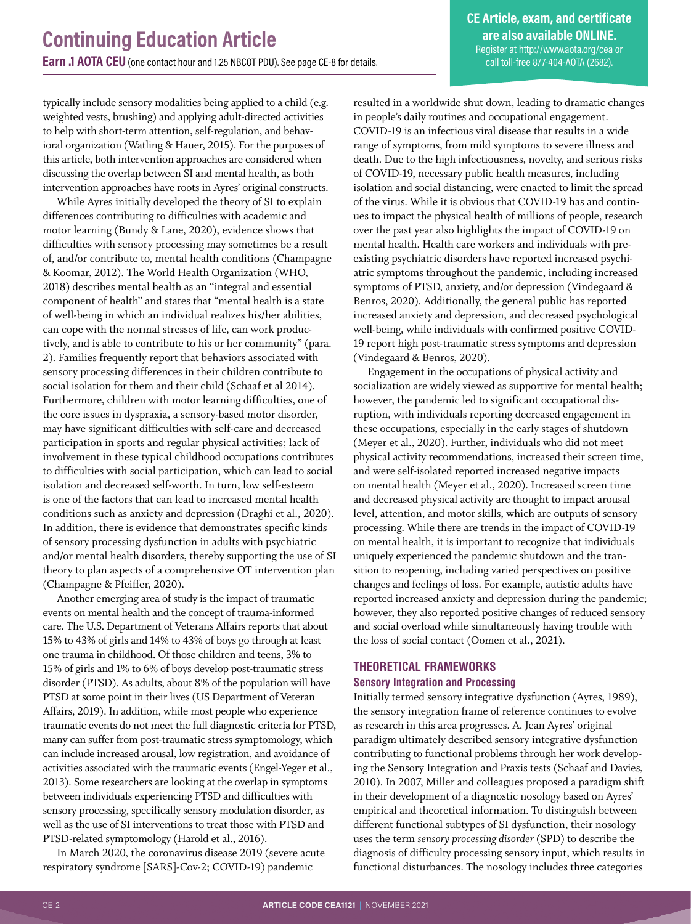**CE Article, exam, and certificate are also available ONLINE.** Register at<http://www.aota.org/cea> or call toll-free 877-404-AOTA (2682).

typically include sensory modalities being applied to a child (e.g. weighted vests, brushing) and applying adult-directed activities to help with short-term attention, self-regulation, and behavioral organization (Watling & Hauer, 2015). For the purposes of this article, both intervention approaches are considered when discussing the overlap between SI and mental health, as both intervention approaches have roots in Ayres' original constructs.

While Ayres initially developed the theory of SI to explain differences contributing to difficulties with academic and motor learning (Bundy & Lane, 2020), evidence shows that difficulties with sensory processing may sometimes be a result of, and/or contribute to, mental health conditions (Champagne & Koomar, 2012). The World Health Organization (WHO, 2018) describes mental health as an "integral and essential component of health" and states that "mental health is a state of well-being in which an individual realizes his/her abilities, can cope with the normal stresses of life, can work productively, and is able to contribute to his or her community" (para. 2). Families frequently report that behaviors associated with sensory processing differences in their children contribute to social isolation for them and their child (Schaaf et al 2014). Furthermore, children with motor learning difficulties, one of the core issues in dyspraxia, a sensory-based motor disorder, may have significant difficulties with self-care and decreased participation in sports and regular physical activities; lack of involvement in these typical childhood occupations contributes to difficulties with social participation, which can lead to social isolation and decreased self-worth. In turn, low self-esteem is one of the factors that can lead to increased mental health conditions such as anxiety and depression (Draghi et al., 2020). In addition, there is evidence that demonstrates specific kinds of sensory processing dysfunction in adults with psychiatric and/or mental health disorders, thereby supporting the use of SI theory to plan aspects of a comprehensive OT intervention plan (Champagne & Pfeiffer, 2020).

Another emerging area of study is the impact of traumatic events on mental health and the concept of trauma-informed care. The U.S. Department of Veterans Affairs reports that about 15% to 43% of girls and 14% to 43% of boys go through at least one trauma in childhood. Of those children and teens, 3% to 15% of girls and 1% to 6% of boys develop post-traumatic stress disorder (PTSD). As adults, about 8% of the population will have PTSD at some point in their lives (US Department of Veteran Affairs, 2019). In addition, while most people who experience traumatic events do not meet the full diagnostic criteria for PTSD, many can suffer from post-traumatic stress symptomology, which can include increased arousal, low registration, and avoidance of activities associated with the traumatic events (Engel-Yeger et al., 2013). Some researchers are looking at the overlap in symptoms between individuals experiencing PTSD and difficulties with sensory processing, specifically sensory modulation disorder, as well as the use of SI interventions to treat those with PTSD and PTSD-related symptomology (Harold et al., 2016).

In March 2020, the coronavirus disease 2019 (severe acute respiratory syndrome [SARS]-Cov-2; COVID-19) pandemic

resulted in a worldwide shut down, leading to dramatic changes in people's daily routines and occupational engagement. COVID-19 is an infectious viral disease that results in a wide range of symptoms, from mild symptoms to severe illness and death. Due to the high infectiousness, novelty, and serious risks of COVID-19, necessary public health measures, including isolation and social distancing, were enacted to limit the spread of the virus. While it is obvious that COVID-19 has and continues to impact the physical health of millions of people, research over the past year also highlights the impact of COVID-19 on mental health. Health care workers and individuals with preexisting psychiatric disorders have reported increased psychiatric symptoms throughout the pandemic, including increased symptoms of PTSD, anxiety, and/or depression (Vindegaard & Benros, 2020). Additionally, the general public has reported increased anxiety and depression, and decreased psychological well-being, while individuals with confirmed positive COVID-19 report high post-traumatic stress symptoms and depression (Vindegaard & Benros, 2020).

Engagement in the occupations of physical activity and socialization are widely viewed as supportive for mental health; however, the pandemic led to significant occupational disruption, with individuals reporting decreased engagement in these occupations, especially in the early stages of shutdown (Meyer et al., 2020). Further, individuals who did not meet physical activity recommendations, increased their screen time, and were self-isolated reported increased negative impacts on mental health (Meyer et al., 2020). Increased screen time and decreased physical activity are thought to impact arousal level, attention, and motor skills, which are outputs of sensory processing. While there are trends in the impact of COVID-19 on mental health, it is important to recognize that individuals uniquely experienced the pandemic shutdown and the transition to reopening, including varied perspectives on positive changes and feelings of loss. For example, autistic adults have reported increased anxiety and depression during the pandemic; however, they also reported positive changes of reduced sensory and social overload while simultaneously having trouble with the loss of social contact (Oomen et al., 2021).

#### **THEORETICAL FRAMEWORKS**

#### **Sensory Integration and Processing**

Initially termed sensory integrative dysfunction (Ayres, 1989), the sensory integration frame of reference continues to evolve as research in this area progresses. A. Jean Ayres' original paradigm ultimately described sensory integrative dysfunction contributing to functional problems through her work developing the Sensory Integration and Praxis tests (Schaaf and Davies, 2010). In 2007, Miller and colleagues proposed a paradigm shift in their development of a diagnostic nosology based on Ayres' empirical and theoretical information. To distinguish between different functional subtypes of SI dysfunction, their nosology uses the term *sensory processing disorder* (SPD) to describe the diagnosis of difficulty processing sensory input, which results in functional disturbances. The nosology includes three categories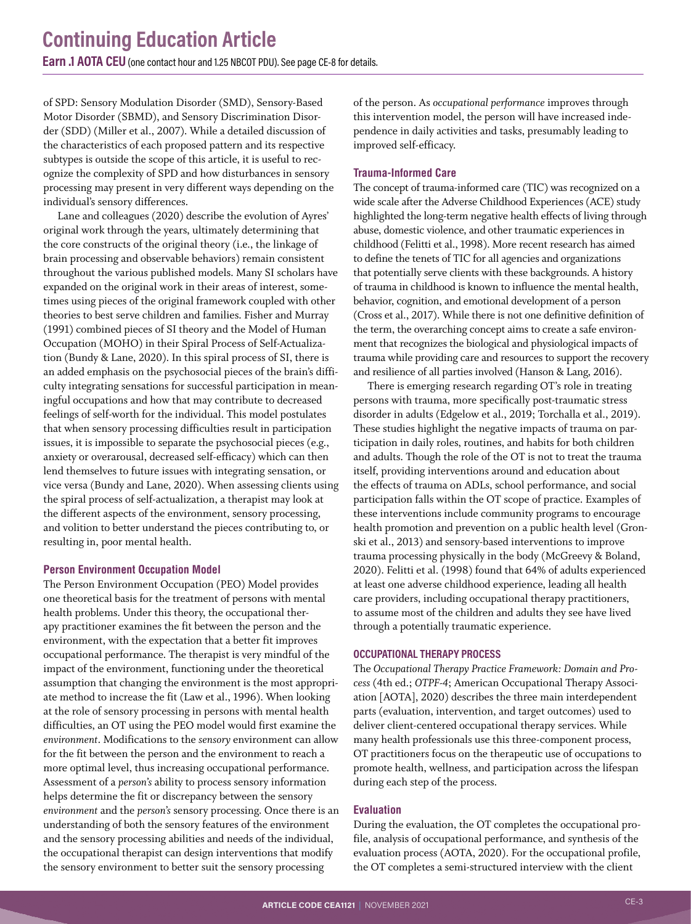of SPD: Sensory Modulation Disorder (SMD), Sensory-Based Motor Disorder (SBMD), and Sensory Discrimination Disorder (SDD) (Miller et al., 2007). While a detailed discussion of the characteristics of each proposed pattern and its respective subtypes is outside the scope of this article, it is useful to recognize the complexity of SPD and how disturbances in sensory processing may present in very different ways depending on the individual's sensory differences.

Lane and colleagues (2020) describe the evolution of Ayres' original work through the years, ultimately determining that the core constructs of the original theory (i.e., the linkage of brain processing and observable behaviors) remain consistent throughout the various published models. Many SI scholars have expanded on the original work in their areas of interest, sometimes using pieces of the original framework coupled with other theories to best serve children and families. Fisher and Murray (1991) combined pieces of SI theory and the Model of Human Occupation (MOHO) in their Spiral Process of Self-Actualization (Bundy & Lane, 2020). In this spiral process of SI, there is an added emphasis on the psychosocial pieces of the brain's difficulty integrating sensations for successful participation in meaningful occupations and how that may contribute to decreased feelings of self-worth for the individual. This model postulates that when sensory processing difficulties result in participation issues, it is impossible to separate the psychosocial pieces (e.g., anxiety or overarousal, decreased self-efficacy) which can then lend themselves to future issues with integrating sensation, or vice versa (Bundy and Lane, 2020). When assessing clients using the spiral process of self-actualization, a therapist may look at the different aspects of the environment, sensory processing, and volition to better understand the pieces contributing to, or resulting in, poor mental health.

#### **Person Environment Occupation Model**

The Person Environment Occupation (PEO) Model provides one theoretical basis for the treatment of persons with mental health problems. Under this theory, the occupational therapy practitioner examines the fit between the person and the environment, with the expectation that a better fit improves occupational performance. The therapist is very mindful of the impact of the environment, functioning under the theoretical assumption that changing the environment is the most appropriate method to increase the fit (Law et al., 1996). When looking at the role of sensory processing in persons with mental health difficulties, an OT using the PEO model would first examine the *environment*. Modifications to the *sensory* environment can allow for the fit between the person and the environment to reach a more optimal level, thus increasing occupational performance. Assessment of a *person's* ability to process sensory information helps determine the fit or discrepancy between the sensory *environment* and the *person's* sensory processing. Once there is an understanding of both the sensory features of the environment and the sensory processing abilities and needs of the individual, the occupational therapist can design interventions that modify the sensory environment to better suit the sensory processing

of the person. As *occupational performance* improves through this intervention model, the person will have increased independence in daily activities and tasks, presumably leading to improved self-efficacy.

#### **Trauma-Informed Care**

The concept of trauma-informed care (TIC) was recognized on a wide scale after the Adverse Childhood Experiences (ACE) study highlighted the long-term negative health effects of living through abuse, domestic violence, and other traumatic experiences in childhood (Felitti et al., 1998). More recent research has aimed to define the tenets of TIC for all agencies and organizations that potentially serve clients with these backgrounds. A history of trauma in childhood is known to influence the mental health, behavior, cognition, and emotional development of a person (Cross et al., 2017). While there is not one definitive definition of the term, the overarching concept aims to create a safe environment that recognizes the biological and physiological impacts of trauma while providing care and resources to support the recovery and resilience of all parties involved (Hanson & Lang, 2016).

There is emerging research regarding OT's role in treating persons with trauma, more specifically post-traumatic stress disorder in adults (Edgelow et al., 2019; Torchalla et al., 2019). These studies highlight the negative impacts of trauma on participation in daily roles, routines, and habits for both children and adults. Though the role of the OT is not to treat the trauma itself, providing interventions around and education about the effects of trauma on ADLs, school performance, and social participation falls within the OT scope of practice. Examples of these interventions include community programs to encourage health promotion and prevention on a public health level (Gronski et al., 2013) and sensory-based interventions to improve trauma processing physically in the body (McGreevy & Boland, 2020). Felitti et al. (1998) found that 64% of adults experienced at least one adverse childhood experience, leading all health care providers, including occupational therapy practitioners, to assume most of the children and adults they see have lived through a potentially traumatic experience.

#### **OCCUPATIONAL THERAPY PROCESS**

The *Occupational Therapy Practice Framework: Domain and Process* (4th ed.; *OTPF-4*; American Occupational Therapy Association [AOTA], 2020) describes the three main interdependent parts (evaluation, intervention, and target outcomes) used to deliver client-centered occupational therapy services. While many health professionals use this three-component process, OT practitioners focus on the therapeutic use of occupations to promote health, wellness, and participation across the lifespan during each step of the process.

#### **Evaluation**

During the evaluation, the OT completes the occupational profile, analysis of occupational performance, and synthesis of the evaluation process (AOTA, 2020). For the occupational profile, the OT completes a semi-structured interview with the client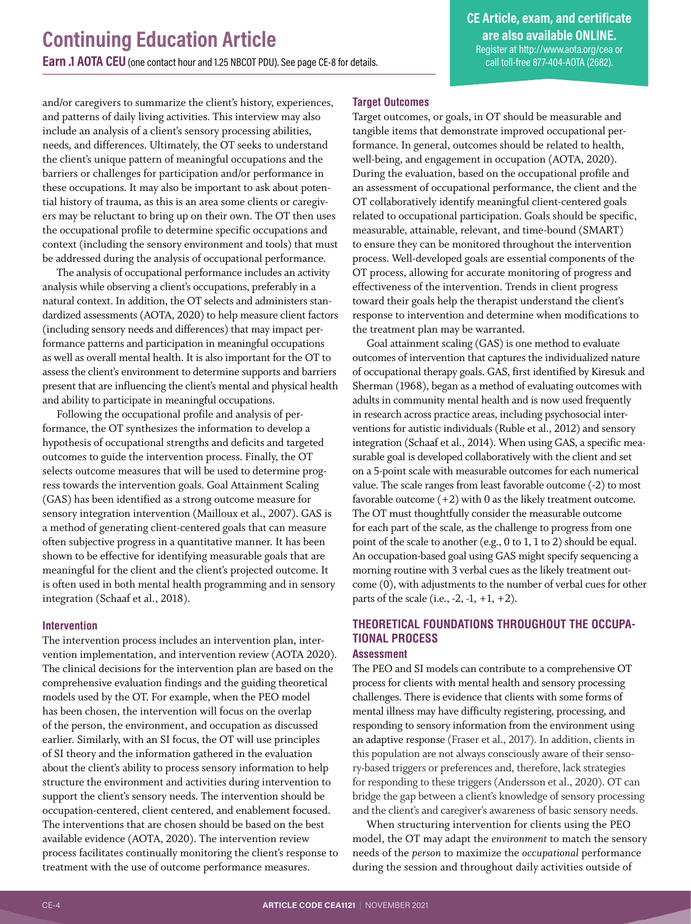and/or caregivers to summarize the client's history, experiences, and patterns of daily living activities. This interview may also include an analysis of a client's sensory processing abilities, needs, and differences. Ultimately, the OT seeks to understand the client's unique pattern of meaningful occupations and the barriers or challenges for participation and/or performance in these occupations. It may also be important to ask about potential history of trauma, as this is an area some clients or caregivers may be reluctant to bring up on their own. The OT then uses the occupational profile to determine specific occupations and context (including the sensory environment and tools) that must be addressed during the analysis of occupational performance.

The analysis of occupational performance includes an activity analysis while observing a client's occupations, preferably in a natural context. In addition, the OT selects and administers standardized assessments (AOTA, 2020) to help measure client factors (including sensory needs and differences) that may impact performance patterns and participation in meaningful occupations as well as overall mental health. It is also important for the OT to assess the client's environment to determine supports and barriers present that are influencing the client's mental and physical health and ability to participate in meaningful occupations.

Following the occupational profile and analysis of performance, the OT synthesizes the information to develop a hypothesis of occupational strengths and deficits and targeted outcomes to guide the intervention process. Finally, the OT selects outcome measures that will be used to determine progress towards the intervention goals. Goal Attainment Scaling (GAS) has been identified as a strong outcome measure for sensory integration intervention (Mailloux et al., 2007). GAS is a method of generating client-centered goals that can measure often subjective progress in a quantitative manner. It has been shown to be effective for identifying measurable goals that are meaningful for the client and the client's projected outcome. It is often used in both mental health programming and in sensory integration (Schaaf et al., 2018).

#### **Intervention**

The intervention process includes an intervention plan, intervention implementation, and intervention review (AOTA 2020). The clinical decisions for the intervention plan are based on the comprehensive evaluation findings and the guiding theoretical models used by the OT. For example, when the PEO model has been chosen, the intervention will focus on the overlap of the person, the environment, and occupation as discussed earlier. Similarly, with an SI focus, the OT will use principles of SI theory and the information gathered in the evaluation about the client's ability to process sensory information to help structure the environment and activities during intervention to support the client's sensory needs. The intervention should be occupation-centered, client centered, and enablement focused. The interventions that are chosen should be based on the best available evidence (AOTA, 2020). The intervention review process facilitates continually monitoring the client's response to treatment with the use of outcome performance measures.

#### **Target Outcomes**

Target outcomes, or goals, in OT should be measurable and tangible items that demonstrate improved occupational performance. In general, outcomes should be related to health, well-being, and engagement in occupation (AOTA, 2020). During the evaluation, based on the occupational profile and an assessment of occupational performance, the client and the OT collaboratively identify meaningful client-centered goals related to occupational participation. Goals should be specific, measurable, attainable, relevant, and time-bound (SMART) to ensure they can be monitored throughout the intervention process. Well-developed goals are essential components of the OT process, allowing for accurate monitoring of progress and effectiveness of the intervention. Trends in client progress toward their goals help the therapist understand the client's response to intervention and determine when modifications to the treatment plan may be warranted.

Goal attainment scaling (GAS) is one method to evaluate outcomes of intervention that captures the individualized nature of occupational therapy goals. GAS, first identified by Kiresuk and Sherman (1968), began as a method of evaluating outcomes with adults in community mental health and is now used frequently in research across practice areas, including psychosocial interventions for autistic individuals (Ruble et al., 2012) and sensory integration (Schaaf et al., 2014). When using GAS, a specific measurable goal is developed collaboratively with the client and set on a 5-point scale with measurable outcomes for each numerical value. The scale ranges from least favorable outcome (-2) to most favorable outcome  $(+2)$  with 0 as the likely treatment outcome. The OT must thoughtfully consider the measurable outcome for each part of the scale, as the challenge to progress from one point of the scale to another (e.g., 0 to 1, 1 to 2) should be equal. An occupation-based goal using GAS might specify sequencing a morning routine with 3 verbal cues as the likely treatment outcome (0), with adjustments to the number of verbal cues for other parts of the scale (i.e.,  $-2$ ,  $-1$ ,  $+1$ ,  $+2$ ).

#### **THEORETICAL FOUNDATIONS THROUGHOUT THE OCCUPA-TIONAL PROCESS**

#### **Assessment**

The PEO and SI models can contribute to a comprehensive OT process for clients with mental health and sensory processing challenges. There is evidence that clients with some forms of mental illness may have difficulty registering, processing, and responding to sensory information from the environment using an adaptive response (Fraser et al., 2017). In addition, clients in this population are not always consciously aware of their sensory-based triggers or preferences and, therefore, lack strategies for responding to these triggers (Andersson et al., 2020). OT can bridge the gap between a client's knowledge of sensory processing and the client's and caregiver's awareness of basic sensory needs.

When structuring intervention for clients using the PEO model, the OT may adapt the *environment* to match the sensory needs of the *person* to maximize the *occupational* performance during the session and throughout daily activities outside of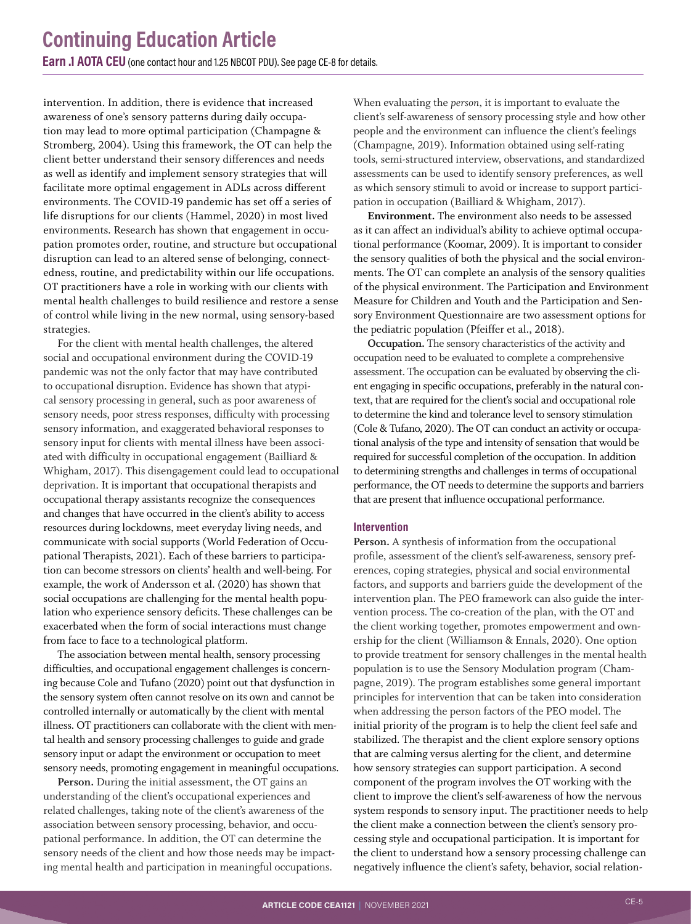intervention. In addition, there is evidence that increased awareness of one's sensory patterns during daily occupation may lead to more optimal participation (Champagne & Stromberg, 2004). Using this framework, the OT can help the client better understand their sensory differences and needs as well as identify and implement sensory strategies that will facilitate more optimal engagement in ADLs across different environments. The COVID-19 pandemic has set off a series of life disruptions for our clients (Hammel, 2020) in most lived environments. Research has shown that engagement in occupation promotes order, routine, and structure but occupational disruption can lead to an altered sense of belonging, connectedness, routine, and predictability within our life occupations. OT practitioners have a role in working with our clients with mental health challenges to build resilience and restore a sense of control while living in the new normal, using sensory-based strategies.

For the client with mental health challenges, the altered social and occupational environment during the COVID-19 pandemic was not the only factor that may have contributed to occupational disruption. Evidence has shown that atypical sensory processing in general, such as poor awareness of sensory needs, poor stress responses, difficulty with processing sensory information, and exaggerated behavioral responses to sensory input for clients with mental illness have been associated with difficulty in occupational engagement (Bailliard & Whigham, 2017). This disengagement could lead to occupational deprivation. It is important that occupational therapists and occupational therapy assistants recognize the consequences and changes that have occurred in the client's ability to access resources during lockdowns, meet everyday living needs, and communicate with social supports (World Federation of Occupational Therapists, 2021). Each of these barriers to participation can become stressors on clients' health and well-being. For example, the work of Andersson et al. (2020) has shown that social occupations are challenging for the mental health population who experience sensory deficits. These challenges can be exacerbated when the form of social interactions must change from face to face to a technological platform.

The association between mental health, sensory processing difficulties, and occupational engagement challenges is concerning because Cole and Tufano (2020) point out that dysfunction in the sensory system often cannot resolve on its own and cannot be controlled internally or automatically by the client with mental illness. OT practitioners can collaborate with the client with mental health and sensory processing challenges to guide and grade sensory input or adapt the environment or occupation to meet sensory needs, promoting engagement in meaningful occupations.

**Person.** During the initial assessment, the OT gains an understanding of the client's occupational experiences and related challenges, taking note of the client's awareness of the association between sensory processing, behavior, and occupational performance. In addition, the OT can determine the sensory needs of the client and how those needs may be impacting mental health and participation in meaningful occupations.

When evaluating the *person*, it is important to evaluate the client's self-awareness of sensory processing style and how other people and the environment can influence the client's feelings (Champagne, 2019). Information obtained using self-rating tools, semi-structured interview, observations, and standardized assessments can be used to identify sensory preferences, as well as which sensory stimuli to avoid or increase to support participation in occupation (Bailliard & Whigham, 2017).

**Environment.** The environment also needs to be assessed as it can affect an individual's ability to achieve optimal occupational performance (Koomar, 2009). It is important to consider the sensory qualities of both the physical and the social environments. The OT can complete an analysis of the sensory qualities of the physical environment. The Participation and Environment Measure for Children and Youth and the Participation and Sensory Environment Questionnaire are two assessment options for the pediatric population (Pfeiffer et al., 2018).

**Occupation.** The sensory characteristics of the activity and occupation need to be evaluated to complete a comprehensive assessment. The occupation can be evaluated by observing the client engaging in specific occupations, preferably in the natural context, that are required for the client's social and occupational role to determine the kind and tolerance level to sensory stimulation (Cole & Tufano, 2020). The OT can conduct an activity or occupational analysis of the type and intensity of sensation that would be required for successful completion of the occupation. In addition to determining strengths and challenges in terms of occupational performance, the OT needs to determine the supports and barriers that are present that influence occupational performance.

#### **Intervention**

**Person.** A synthesis of information from the occupational profile, assessment of the client's self-awareness, sensory preferences, coping strategies, physical and social environmental factors, and supports and barriers guide the development of the intervention plan. The PEO framework can also guide the intervention process. The co-creation of the plan, with the OT and the client working together, promotes empowerment and ownership for the client (Williamson & Ennals, 2020). One option to provide treatment for sensory challenges in the mental health population is to use the Sensory Modulation program (Champagne, 2019). The program establishes some general important principles for intervention that can be taken into consideration when addressing the person factors of the PEO model. The initial priority of the program is to help the client feel safe and stabilized. The therapist and the client explore sensory options that are calming versus alerting for the client, and determine how sensory strategies can support participation. A second component of the program involves the OT working with the client to improve the client's self-awareness of how the nervous system responds to sensory input. The practitioner needs to help the client make a connection between the client's sensory processing style and occupational participation. It is important for the client to understand how a sensory processing challenge can negatively influence the client's safety, behavior, social relation-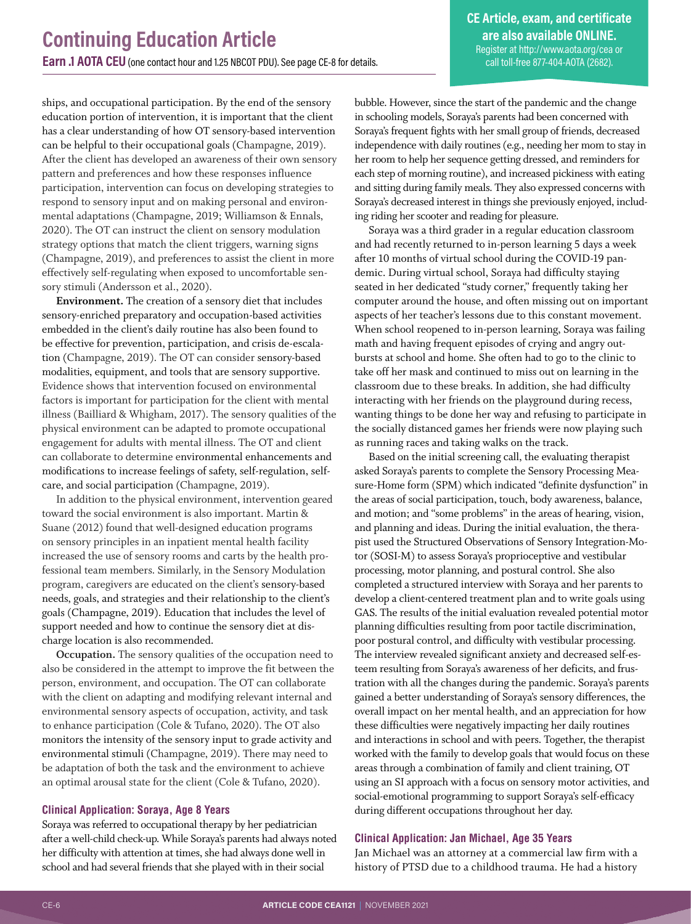**CE Article, exam, and certificate are also available ONLINE.** Register at<http://www.aota.org/cea> or call toll-free 877-404-AOTA (2682).

ships, and occupational participation. By the end of the sensory education portion of intervention, it is important that the client has a clear understanding of how OT sensory-based intervention can be helpful to their occupational goals (Champagne, 2019). After the client has developed an awareness of their own sensory pattern and preferences and how these responses influence participation, intervention can focus on developing strategies to respond to sensory input and on making personal and environmental adaptations (Champagne, 2019; Williamson & Ennals, 2020). The OT can instruct the client on sensory modulation strategy options that match the client triggers, warning signs (Champagne, 2019), and preferences to assist the client in more effectively self-regulating when exposed to uncomfortable sensory stimuli (Andersson et al., 2020).

**Environment.** The creation of a sensory diet that includes sensory-enriched preparatory and occupation-based activities embedded in the client's daily routine has also been found to be effective for prevention, participation, and crisis de-escalation (Champagne, 2019). The OT can consider sensory-based modalities, equipment, and tools that are sensory supportive. Evidence shows that intervention focused on environmental factors is important for participation for the client with mental illness (Bailliard & Whigham, 2017). The sensory qualities of the physical environment can be adapted to promote occupational engagement for adults with mental illness. The OT and client can collaborate to determine environmental enhancements and modifications to increase feelings of safety, self-regulation, selfcare, and social participation (Champagne, 2019).

In addition to the physical environment, intervention geared toward the social environment is also important. Martin & Suane (2012) found that well-designed education programs on sensory principles in an inpatient mental health facility increased the use of sensory rooms and carts by the health professional team members. Similarly, in the Sensory Modulation program, caregivers are educated on the client's sensory-based needs, goals, and strategies and their relationship to the client's goals (Champagne, 2019). Education that includes the level of support needed and how to continue the sensory diet at discharge location is also recommended.

**Occupation.** The sensory qualities of the occupation need to also be considered in the attempt to improve the fit between the person, environment, and occupation. The OT can collaborate with the client on adapting and modifying relevant internal and environmental sensory aspects of occupation, activity, and task to enhance participation (Cole & Tufano, 2020). The OT also monitors the intensity of the sensory input to grade activity and environmental stimuli (Champagne, 2019). There may need to be adaptation of both the task and the environment to achieve an optimal arousal state for the client (Cole & Tufano, 2020).

#### **Clinical Application: Soraya, Age 8 Years**

Soraya was referred to occupational therapy by her pediatrician after a well-child check-up. While Soraya's parents had always noted her difficulty with attention at times, she had always done well in school and had several friends that she played with in their social

bubble. However, since the start of the pandemic and the change in schooling models, Soraya's parents had been concerned with Soraya's frequent fights with her small group of friends, decreased independence with daily routines (e.g., needing her mom to stay in her room to help her sequence getting dressed, and reminders for each step of morning routine), and increased pickiness with eating and sitting during family meals. They also expressed concerns with Soraya's decreased interest in things she previously enjoyed, including riding her scooter and reading for pleasure.

Soraya was a third grader in a regular education classroom and had recently returned to in-person learning 5 days a week after 10 months of virtual school during the COVID-19 pandemic. During virtual school, Soraya had difficulty staying seated in her dedicated "study corner," frequently taking her computer around the house, and often missing out on important aspects of her teacher's lessons due to this constant movement. When school reopened to in-person learning, Soraya was failing math and having frequent episodes of crying and angry outbursts at school and home. She often had to go to the clinic to take off her mask and continued to miss out on learning in the classroom due to these breaks. In addition, she had difficulty interacting with her friends on the playground during recess, wanting things to be done her way and refusing to participate in the socially distanced games her friends were now playing such as running races and taking walks on the track.

Based on the initial screening call, the evaluating therapist asked Soraya's parents to complete the Sensory Processing Measure-Home form (SPM) which indicated "definite dysfunction" in the areas of social participation, touch, body awareness, balance, and motion; and "some problems" in the areas of hearing, vision, and planning and ideas. During the initial evaluation, the therapist used the Structured Observations of Sensory Integration-Motor (SOSI-M) to assess Soraya's proprioceptive and vestibular processing, motor planning, and postural control. She also completed a structured interview with Soraya and her parents to develop a client-centered treatment plan and to write goals using GAS. The results of the initial evaluation revealed potential motor planning difficulties resulting from poor tactile discrimination, poor postural control, and difficulty with vestibular processing. The interview revealed significant anxiety and decreased self-esteem resulting from Soraya's awareness of her deficits, and frustration with all the changes during the pandemic. Soraya's parents gained a better understanding of Soraya's sensory differences, the overall impact on her mental health, and an appreciation for how these difficulties were negatively impacting her daily routines and interactions in school and with peers. Together, the therapist worked with the family to develop goals that would focus on these areas through a combination of family and client training, OT using an SI approach with a focus on sensory motor activities, and social-emotional programming to support Soraya's self-efficacy during different occupations throughout her day.

#### **Clinical Application: Jan Michael, Age 35 Years**

Jan Michael was an attorney at a commercial law firm with a history of PTSD due to a childhood trauma. He had a history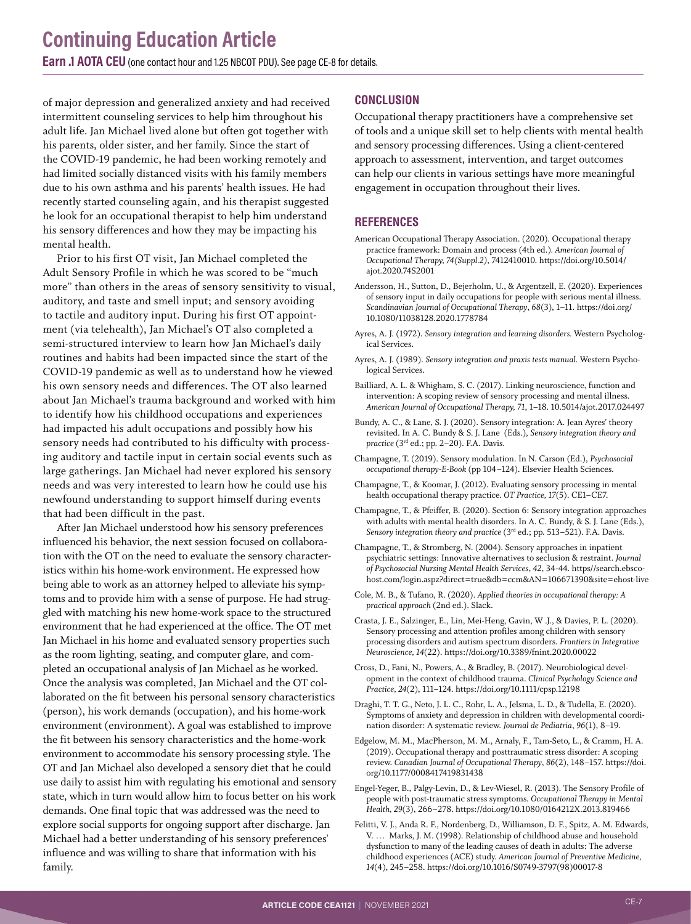of major depression and generalized anxiety and had received intermittent counseling services to help him throughout his adult life. Jan Michael lived alone but often got together with his parents, older sister, and her family. Since the start of the COVID-19 pandemic, he had been working remotely and had limited socially distanced visits with his family members due to his own asthma and his parents' health issues. He had recently started counseling again, and his therapist suggested he look for an occupational therapist to help him understand his sensory differences and how they may be impacting his mental health.

Prior to his first OT visit, Jan Michael completed the Adult Sensory Profile in which he was scored to be "much more" than others in the areas of sensory sensitivity to visual, auditory, and taste and smell input; and sensory avoiding to tactile and auditory input. During his first OT appointment (via telehealth), Jan Michael's OT also completed a semi-structured interview to learn how Jan Michael's daily routines and habits had been impacted since the start of the COVID-19 pandemic as well as to understand how he viewed his own sensory needs and differences. The OT also learned about Jan Michael's trauma background and worked with him to identify how his childhood occupations and experiences had impacted his adult occupations and possibly how his sensory needs had contributed to his difficulty with processing auditory and tactile input in certain social events such as large gatherings. Jan Michael had never explored his sensory needs and was very interested to learn how he could use his newfound understanding to support himself during events that had been difficult in the past.

After Jan Michael understood how his sensory preferences influenced his behavior, the next session focused on collaboration with the OT on the need to evaluate the sensory characteristics within his home-work environment. He expressed how being able to work as an attorney helped to alleviate his symptoms and to provide him with a sense of purpose. He had struggled with matching his new home-work space to the structured environment that he had experienced at the office. The OT met Jan Michael in his home and evaluated sensory properties such as the room lighting, seating, and computer glare, and completed an occupational analysis of Jan Michael as he worked. Once the analysis was completed, Jan Michael and the OT collaborated on the fit between his personal sensory characteristics (person), his work demands (occupation), and his home-work environment (environment). A goal was established to improve the fit between his sensory characteristics and the home-work environment to accommodate his sensory processing style. The OT and Jan Michael also developed a sensory diet that he could use daily to assist him with regulating his emotional and sensory state, which in turn would allow him to focus better on his work demands. One final topic that was addressed was the need to explore social supports for ongoing support after discharge. Jan Michael had a better understanding of his sensory preferences' influence and was willing to share that information with his family.

#### **CONCLUSION**

Occupational therapy practitioners have a comprehensive set of tools and a unique skill set to help clients with mental health and sensory processing differences. Using a client-centered approach to assessment, intervention, and target outcomes can help our clients in various settings have more meaningful engagement in occupation throughout their lives.

#### **REFERENCES**

- American Occupational Therapy Association. (2020). Occupational therapy practice framework: Domain and process (4th ed.)*. American Journal of Occupational Therapy, 74(Suppl.2),* 7412410010. https://doi.org/10.5014/ ajot.2020.74S2001
- Andersson, H., Sutton, D., Bejerholm, U., & Argentzell, E. (2020). Experiences of sensory input in daily occupations for people with serious mental illness. *Scandinavian Journal of Occupational Therapy*, *68*(3), 1–11. https://doi.org/ 10.1080/11038128.2020.1778784
- Ayres, A. J. (1972). *Sensory integration and learning disorders.* Western Psychological Services.
- Ayres, A. J. (1989). *Sensory integration and praxis tests manual.* Western Psychological Services.
- Bailliard, A. L. & Whigham, S. C. (2017). Linking neuroscience, function and intervention: A scoping review of sensory processing and mental illness. *American Journal of Occupational Therapy, 71*, 1–18. 10.5014/ajot.2017.024497
- Bundy, A. C., & Lane, S. J. (2020). Sensory integration: A. Jean Ayres' theory revisited. In A. C. Bundy & S. J. Lane (Eds.), *Sensory integration theory and practice* (3rd ed.; pp. 2–20). F.A. Davis.
- Champagne, T. (2019). Sensory modulation. In N. Carson (Ed.), *Psychosocial occupational therapy-E-Book* (pp 104–124). Elsevier Health Sciences.
- Champagne, T., & Koomar, J. (2012). Evaluating sensory processing in mental health occupational therapy practice. *OT Practice, 17*(5). CE1–CE7.
- Champagne, T., & Pfeiffer, B. (2020). Section 6: Sensory integration approaches with adults with mental health disorders. In A. C. Bundy, & S. J. Lane (Eds.), Sensory integration theory and practice (3<sup>rd</sup> ed.; pp. 513–521). F.A. Davis.
- Champagne, T., & Stromberg, N. (2004). Sensory approaches in inpatient psychiatric settings: Innovative alternatives to seclusion & restraint. *Journal of Psychosocial Nursing Mental Health Services*, *42*, 34-44. https//search.ebscohost.com/login.aspz?direct=true&db=ccm&AN=106671390&site=ehost-live
- Cole, M. B., & Tufano, R. (2020). *Applied theories in occupational therapy: A practical approach* (2nd ed.). Slack.
- Crasta, J. E., Salzinger, E., Lin, Mei-Heng, Gavin, W .J., & Davies, P. L. (2020). Sensory processing and attention profiles among children with sensory processing disorders and autism spectrum disorders. *Frontiers in Integrative Neuroscience, 14*(22). https://doi.org/10.3389/fnint.2020.00022
- Cross, D., Fani, N., Powers, A., & Bradley, B. (2017). Neurobiological development in the context of childhood trauma. *Clinical Psychology Science and Practice, 24*(2), 111–124. https://doi.org/10.1111/cpsp.12198
- Draghi, T. T. G., Neto, J. L. C., Rohr, L. A., Jelsma, L. D., & Tudella, E. (2020). Symptoms of anxiety and depression in children with developmental coordination disorder: A systematic review. *Journal de Pediatria*, *96*(1), 8–19.
- Edgelow, M. M., MacPherson, M. M., Arnaly, F., Tam-Seto, L., & Cramm, H. A. (2019). Occupational therapy and posttraumatic stress disorder: A scoping review. *Canadian Journal of Occupational Therapy*, *86*(2), 148–157. https://doi. org/10.1177/0008417419831438
- Engel-Yeger, B., Palgy-Levin, D., & Lev-Wiesel, R. (2013). The Sensory Profile of people with post-traumatic stress symptoms. *Occupational Therapy in Mental Health, 29*(3), 266–278. https://doi.org/10.1080/0164212X.2013.819466
- Felitti, V. J., Anda R. F., Nordenberg, D., Williamson, D. F., Spitz, A. M. Edwards, V. … Marks, J. M. (1998). Relationship of childhood abuse and household dysfunction to many of the leading causes of death in adults: The adverse childhood experiences (ACE) study. *American Journal of Preventive Medicine, 14*(4), 245–258. https://doi.org/10.1016/S0749-3797(98)00017-8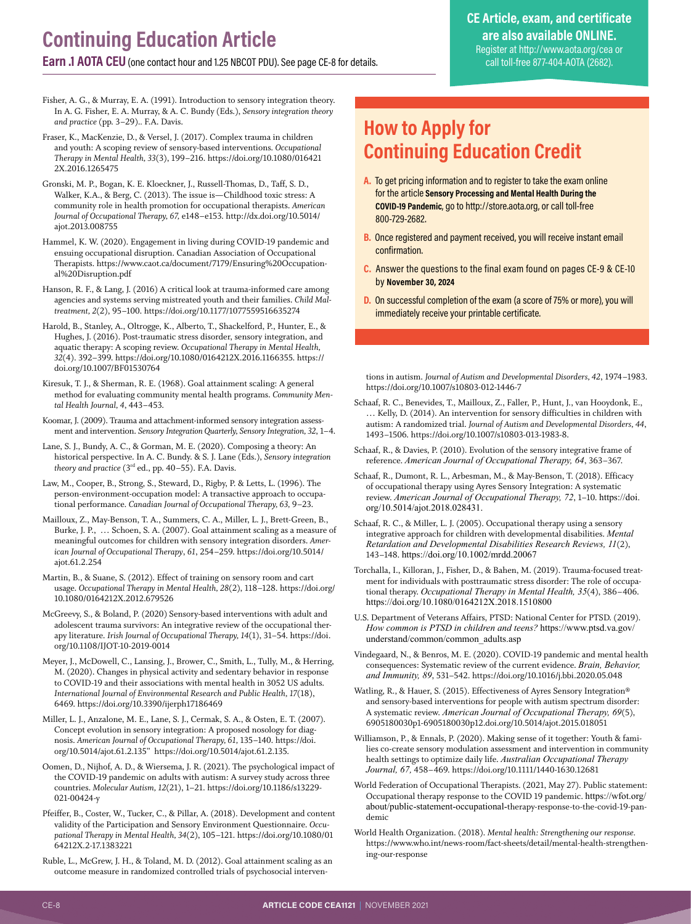<span id="page-7-0"></span>**Earn .1 AOTA CEU**(one contact hour and 1.25 NBCOT PDU). See page CE-8 for details.

#### **CE Article, exam, and certificate are also available ONLINE.** Register at<http://www.aota.org/cea> or call toll-free 877-404-AOTA (2682).

Fisher, A. G., & Murray, E. A. (1991). Introduction to sensory integration theory. In A. G. Fisher, E. A. Murray, & A. C. Bundy (Eds.), *Sensory integration theory and practice* (pp. 3–29).*.* F.A. Davis.

Fraser, K., MacKenzie, D., & Versel, J. (2017). Complex trauma in children and youth: A scoping review of sensory-based interventions. *Occupational Therapy in Mental Health, 33*(3), 199–216. https://doi.org/10.1080/016421 2X.2016.1265475

Gronski, M. P., Bogan, K. E. Kloeckner, J., Russell-Thomas, D., Taff, S. D., Walker, K.A., & Berg, C. (2013). The issue is—Childhood toxic stress: A community role in health promotion for occupational therapists. *American Journal of Occupational Therapy, 67,* e148–e153. http://dx.doi.org/10.5014/ ajot.2013.008755

Hammel, K. W. (2020). Engagement in living during COVID-19 pandemic and ensuing occupational disruption. Canadian Association of Occupational Therapists. https://www.caot.ca/document/7179/Ensuring%20Occupational%20Disruption.pdf

Hanson, R. F., & Lang, J. (2016) A critical look at trauma-informed care among agencies and systems serving mistreated youth and their families. *Child Maltreatment, 2*(2), 95–100. https://doi.org/10.1177/1077559516635274

Harold, B., Stanley, A., Oltrogge, K., Alberto, T., Shackelford, P., Hunter, E., & Hughes, J. (2016). Post-traumatic stress disorder, sensory integration, and aquatic therapy: A scoping review. *Occupational Therapy in Mental Health, 32*(4). 392–399. https://doi.org/10.1080/0164212X.2016.1166355. https:// doi.org/10.1007/BF01530764

Kiresuk, T. J., & Sherman, R. E. (1968). Goal attainment scaling: A general method for evaluating community mental health programs. *Community Mental Health Journal, 4*, 443–453.

Koomar, J. (2009). Trauma and attachment-informed sensory integration assessment and intervention. *Sensory Integration Quarterly, Sensory Integration, 32*, 1–4.

Lane, S. J., Bundy, A. C., & Gorman, M. E. (2020). Composing a theory: An historical perspective. In A. C. Bundy. & S. J. Lane (Eds.), *Sensory integration theory and practice* (3rd ed., pp. 40–55). F.A. Davis.

Law, M., Cooper, B., Strong, S., Steward, D., Rigby, P. & Letts, L. (1996). The person-environment-occupation model: A transactive approach to occupational performance. *Canadian Journal of Occupational Therapy, 63,* 9–23.

Mailloux, Z., May-Benson, T. A., Summers, C. A., Miller, L. J., Brett-Green, B., Burke, J. P., … Schoen, S. A. (2007). Goal attainment scaling as a measure of meaningful outcomes for children with sensory integration disorders. *American Journal of Occupational Therapy*, *61*, 254–259. https://doi.org/10.5014/ ajot.61.2.254

Martin, B., & Suane, S. (2012). Effect of training on sensory room and cart usage. *Occupational Therapy in Mental Health, 28*(2), 118–128. https://doi.org/ 10.1080/0164212X.2012.679526

McGreevy, S., & Boland, P. (2020) Sensory-based interventions with adult and adolescent trauma survivors: An integrative review of the occupational therapy literature. *Irish Journal of Occupational Therapy, 14*(1), 31–54. https://doi. org/10.1108/IJOT-10-2019-0014

Meyer, J., McDowell, C., Lansing, J., Brower, C., Smith, L., Tully, M., & Herring, M. (2020). Changes in physical activity and sedentary behavior in response to COVID-19 and their associations with mental health in 3052 US adults. *International Journal of Environmental Research and Public Health, 17*(18), 6469. <https://doi.org/10.3390/ijerph17186469>

Miller, L. J., Anzalone, M. E., Lane, S. J., Cermak, S. A., & Osten, E. T. (2007). Concept evolution in sensory integration: A proposed nosology for diagnosis. *American Journal of Occupational Therapy, 61,* 135–140. https://doi. org/10.5014/ajot.61.2.135" https://doi.org/10.5014/ajot.61.2.135.

Oomen, D., Nijhof, A. D., & Wiersema, J. R. (2021). The psychological impact of the COVID-19 pandemic on adults with autism: A survey study across three countries. *Molecular Autism, 12*(21), 1–21. https://doi.org/10.1186/s13229- 021-00424-y

Pfeiffer, B., Coster, W., Tucker, C., & Pillar, A. (2018). Development and content validity of the Participation and Sensory Environment Questionnaire. *Occupational Therapy in Mental Health, 34*(2), 105–121. https://doi.org/10.1080/01 64212X.2-17.1383221

Ruble, L., McGrew, J. H., & Toland, M. D. (2012). Goal attainment scaling as an outcome measure in randomized controlled trials of psychosocial interven-

## **How to Apply for Continuing Education Credit**

- **A.** To get pricing information and to register to take the exam online for the article **Sensory Processing and Mental Health During the COVID-19 Pandemic**, go to http://store.aota.org, or call toll-free 800-729-2682.
- **B.** Once registered and payment received, you will receive instant email confirmation.
- **C.** Answer the questions to the final exam found on pages CE-9 & CE-10 by **November 30, 2024**
- **D.** On successful completion of the exam (a score of 75% or more), you will immediately receive your printable certificate.

tions in autism. *Journal of Autism and Developmental Disorders, 42*, 1974–1983. https://doi.org/10.1007/s10803-012-1446-7

- Schaaf, R. C., Benevides, T., Mailloux, Z., Faller, P., Hunt, J., van Hooydonk, E., … Kelly, D. (2014). An intervention for sensory difficulties in children with autism: A randomized trial. *Journal of Autism and Developmental Disorders, 44*, 1493–1506. https://doi.org/10.1007/s10803-013-1983-8.
- Schaaf, R., & Davies, P. (2010). Evolution of the sensory integrative frame of reference. *American Journal of Occupational Therapy, 64*, 363–367.
- Schaaf, R., Dumont, R. L., Arbesman, M., & May-Benson, T. (2018). Efficacy of occupational therapy using Ayres Sensory Integration: A systematic review. *American Journal of Occupational Therapy, 72*, 1–10. [https://doi.](https://doi.org/10.5014/ajot.2018.028431) [org/10.5014/ajot.2018.028431](https://doi.org/10.5014/ajot.2018.028431).

Schaaf, R. C., & Miller, L. J. (2005). Occupational therapy using a sensory integrative approach for children with developmental disabilities. *Mental Retardation and Developmental Disabilities Research Reviews, 11*(2), 143–148. <https://doi.org/10.1002/mrdd.20067>

Torchalla, I., Killoran, J., Fisher, D., & Bahen, M. (2019). Trauma-focused treatment for individuals with posttraumatic stress disorder: The role of occupational therapy. *Occupational Therapy in Mental Health, 35*(4), 386–406. <https://doi.org/10.1080/0164212X.2018.1510800>

U.S. Department of Veterans Affairs, PTSD: National Center for PTSD. (2019). *How common is PTSD in children and teens?* https://www.ptsd.va.gov/ understand/common/common\_adults.asp

Vindegaard, N., & Benros, M. E. (2020). COVID-19 pandemic and mental health consequences: Systematic review of the current evidence. *Brain, Behavior, and Immunity, 89*, 531–542. https://doi.org/10.1016/j.bbi.2020.05.048

Watling, R., & Hauer, S. (2015). Effectiveness of Ayres Sensory Integration® and sensory-based interventions for people with autism spectrum disorder: A systematic review. *American Journal of Occupational Therapy, 69*(5), 6905180030p1-6905180030p12.doi.org/10.5014/ajot.2015.018051

Williamson, P., & Ennals, P. (2020). Making sense of it together: Youth & families co-create sensory modulation assessment and intervention in community health settings to optimize daily life. *Australian Occupational Therapy Journal, 67,* 458–469. https://doi.org/10.1111/1440-1630.12681

World Federation of Occupational Therapists. (2021, May 27). Public statement: Occupational therapy response to the COVID 19 pandemic. https://wfot.org/ about/public-statement-occupational-therapy-response-to-the-covid-19-pandemic

World Health Organization. (2018). *Mental health: Strengthening our response.*  [https://www.who.int/news-room/fact-sheets/detail/mental-health-strengthen](about:blank)[ing-our-response](about:blank)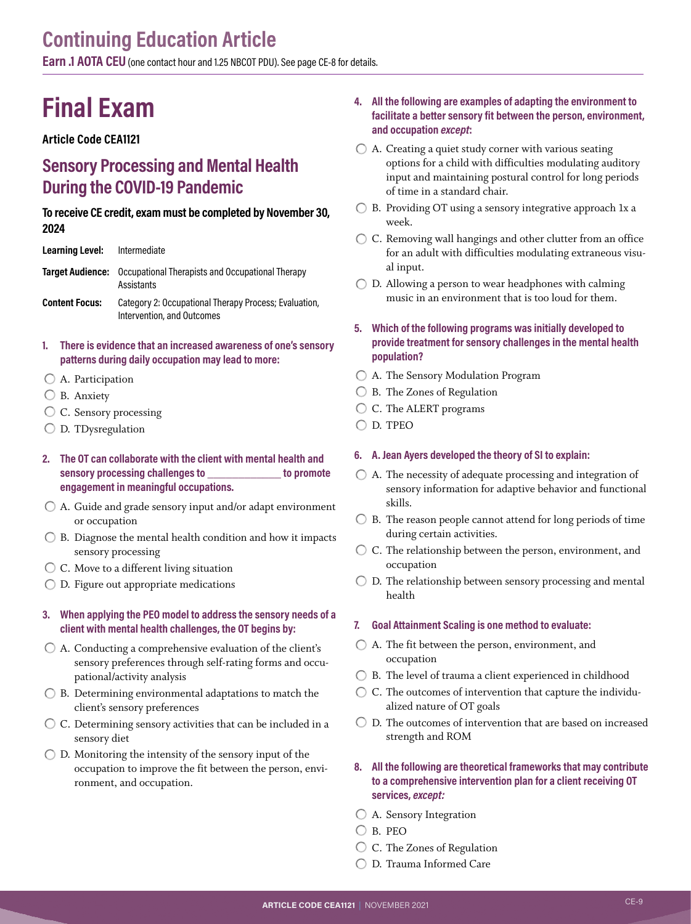**Earn .1 AOTA CEU** (one contact hour and 1.25 NBCOT PDU). [See page CE-8 for details](#page-7-0).

## **Final Exam**

#### **Article Code CEA1121**

### **Sensory Processing and Mental Health During the COVID-19 Pandemic**

#### **To receive CE credit, exam must be completed by November 30, 2024**

| Learning Level:       | Intermediate                                                                           |
|-----------------------|----------------------------------------------------------------------------------------|
|                       | <b>Target Audience:</b> Occupational Therapists and Occupational Therapy<br>Assistants |
| <b>Content Focus:</b> | Category 2: Occupational Therapy Process; Evaluation,<br>Intervention, and Outcomes    |

**1. There is evidence that an increased awareness of one's sensory patterns during daily occupation may lead to more:** 

- A. Participation
- B. Anxiety
- C. Sensory processing
- $\bigcirc$  D. TDysregulation
- **2. The OT can collaborate with the client with mental health and sensory processing challenges to \_\_\_\_\_\_\_\_\_\_\_\_ to promote engagement in meaningful occupations.**
- A. Guide and grade sensory input and/or adapt environment or occupation
- $\bigcirc$  B. Diagnose the mental health condition and how it impacts sensory processing
- C. Move to a different living situation
- D. Figure out appropriate medications

#### **3. When applying the PEO model to address the sensory needs of a client with mental health challenges, the OT begins by:**

- $\bigcirc$  A. Conducting a comprehensive evaluation of the client's sensory preferences through self-rating forms and occupational/activity analysis
- $\bigcirc$  B. Determining environmental adaptations to match the client's sensory preferences
- C. Determining sensory activities that can be included in a sensory diet
- $\bigcirc$  D. Monitoring the intensity of the sensory input of the occupation to improve the fit between the person, environment, and occupation.

#### **4. All the following are examples of adapting the environment to facilitate a better sensory fit between the person, environment, and occupation** *except***:**

- $\bigcirc$  A. Creating a quiet study corner with various seating options for a child with difficulties modulating auditory input and maintaining postural control for long periods of time in a standard chair.
- B. Providing OT using a sensory integrative approach 1x a week.
- C. Removing wall hangings and other clutter from an office for an adult with difficulties modulating extraneous visual input.
- $\bigcirc$  D. Allowing a person to wear headphones with calming music in an environment that is too loud for them.
- **5. Which of the following programs was initially developed to provide treatment for sensory challenges in the mental health population?**
- A. The Sensory Modulation Program
- ◯ B. The Zones of Regulation
- C. The ALERT programs
- D. TPEO

#### **6. A. Jean Ayers developed the theory of SI to explain:**

- $\bigcirc$  A. The necessity of adequate processing and integration of sensory information for adaptive behavior and functional skills.
- $\bigcirc$  B. The reason people cannot attend for long periods of time during certain activities.
- C. The relationship between the person, environment, and occupation
- $\bigcirc$  D. The relationship between sensory processing and mental health

#### **7. Goal Attainment Scaling is one method to evaluate:**

- A. The fit between the person, environment, and occupation
- $\bigcirc$  B. The level of trauma a client experienced in childhood
- $\bigcirc$  C. The outcomes of intervention that capture the individualized nature of OT goals
- D. The outcomes of intervention that are based on increased strength and ROM

#### **8. All the following are theoretical frameworks that may contribute to a comprehensive intervention plan for a client receiving OT services,** *except:*

- A. Sensory Integration
- $O$  B. PEO
- C. The Zones of Regulation
- D. Trauma Informed Care